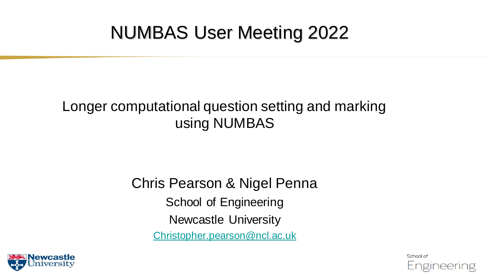#### NUMBAS User Meeting 2022

#### Longer computational question setting and marking using NUMBAS

#### Chris Pearson & Nigel Penna School of Engineering Newcastle University [Christopher.pearson@ncl.ac.uk](mailto:Christopher.pearson@ncl.ac.uk)



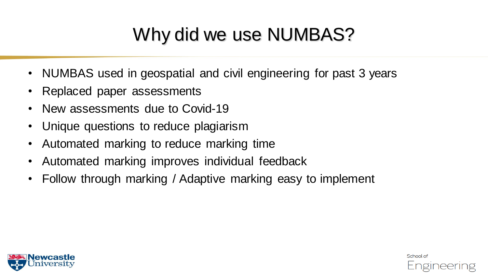## Why did we use NUMBAS?

- NUMBAS used in geospatial and civil engineering for past 3 years
- Replaced paper assessments
- New assessments due to Covid-19
- Unique questions to reduce plagiarism
- Automated marking to reduce marking time
- Automated marking improves individual feedback
- Follow through marking / Adaptive marking easy to implement



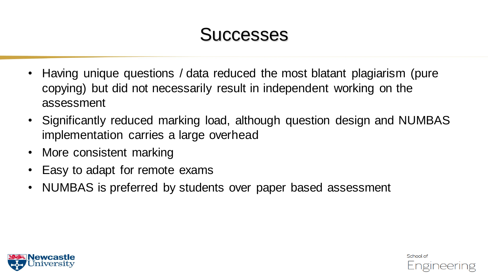#### **Successes**

- Having unique questions / data reduced the most blatant plagiarism (pure copying) but did not necessarily result in independent working on the assessment
- Significantly reduced marking load, although question design and NUMBAS implementation carries a large overhead
- More consistent marking
- Easy to adapt for remote exams
- NUMBAS is preferred by students over paper based assessment



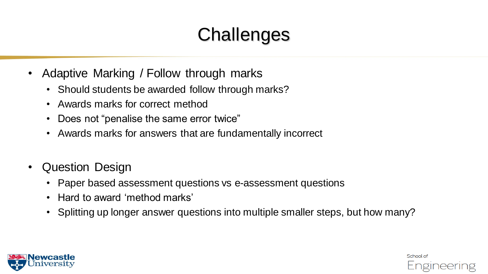# **Challenges**

- Adaptive Marking / Follow through marks
	- Should students be awarded follow through marks?
	- Awards marks for correct method
	- Does not "penalise the same error twice"
	- Awards marks for answers that are fundamentally incorrect
- Question Design
	- Paper based assessment questions vs e-assessment questions
	- Hard to award 'method marks'
	- Splitting up longer answer questions into multiple smaller steps, but how many?



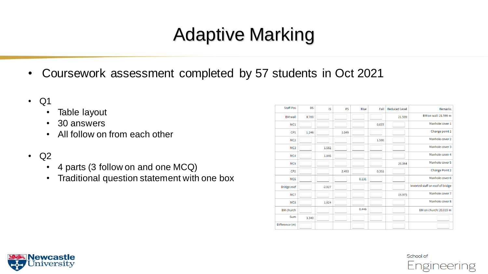## Adaptive Marking

- Coursework assessment completed by 57 students in Oct 2021
- Q1
	- Table layout
	- 30 answers
	- All follow on from each other
- Q2
	- 4 parts (3 follow on and one MCQ)
	- Traditional question statement with one box

| <b>Staff Pos</b>   | <b>BS</b> | <b>IS</b> | <b>FS</b> | <b>Rise</b> | Fall  | <b>Reduced Level</b> | Remarks                          |
|--------------------|-----------|-----------|-----------|-------------|-------|----------------------|----------------------------------|
| <b>BM</b> wall     | 0.700     |           |           |             |       | 21.599               | BM on wall: 21.599 m             |
| MC1                |           |           |           |             | 0.677 |                      | Manhole cover 1                  |
| CP1                | 1.246     |           | 1.049     |             |       |                      | Change point 1                   |
| MC <sub>2</sub>    |           |           |           |             | 1.590 |                      | Manhole cover 2                  |
| MC <sub>3</sub>    |           | 1.582     |           |             |       |                      | Manhole cover 3                  |
| MC4                |           | 1.846     |           |             |       |                      | Manhole cover 4                  |
| MC <sub>5</sub>    |           |           |           |             |       | 20.354               | Manhole cover 5                  |
| CP <sub>2</sub>    |           |           | 2.493     |             | 0.351 |                      | <b>Change Point 2</b>            |
| MC <sub>6</sub>    |           |           |           | 0.131       |       |                      | Manhole cover 6                  |
| <b>Bridge roof</b> |           | $-2.927$  |           |             |       |                      | Inverted staff on roof of bridge |
| MC7                |           |           |           |             |       | 19.975               | Manhole cover 7                  |
| MC8                |           | 1.824     |           |             |       |                      | Manhole cover 8                  |
| <b>BM</b> church   |           |           |           | 0.446       |       |                      | BM on church: 20.019 m           |
| Sum                | 3.340     |           |           |             |       |                      |                                  |
| Difference (m)     |           |           |           |             |       |                      |                                  |



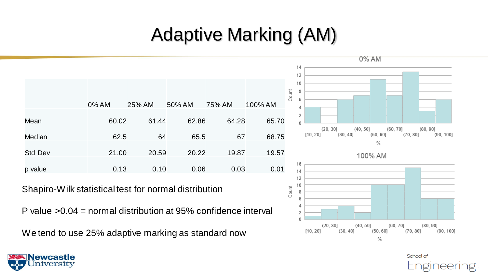## Adaptive Marking (AM)

|                | 0% AM | 25% AM | 50% AM | 75% AM | 100% AM |
|----------------|-------|--------|--------|--------|---------|
|                |       |        |        |        |         |
| Mean           | 60.02 | 61.44  | 62.86  | 64.28  | 65.70   |
|                |       |        |        |        |         |
| Median         | 62.5  | 64     | 65.5   | 67     | 68.75   |
|                |       |        |        |        |         |
| <b>Std Dev</b> | 21.00 | 20.59  | 20.22  | 19.87  | 19.57   |
|                |       |        |        |        |         |
| p value        | 0.13  | 0.10   | 0.06   | 0.03   | 0.01    |

Shapiro-Wilk statistical test for normal distribution

P value >0.04 = normal distribution at 95% confidence interval

We tend to use 25% adaptive marking as standard now



School of

Engineering

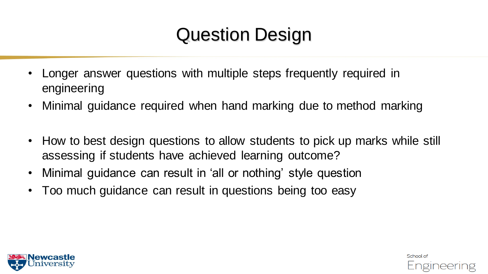- Longer answer questions with multiple steps frequently required in engineering
- Minimal guidance required when hand marking due to method marking
- How to best design questions to allow students to pick up marks while still assessing if students have achieved learning outcome?

School of

Engineering

- Minimal guidance can result in 'all or nothing' style question
- Too much guidance can result in questions being too easy

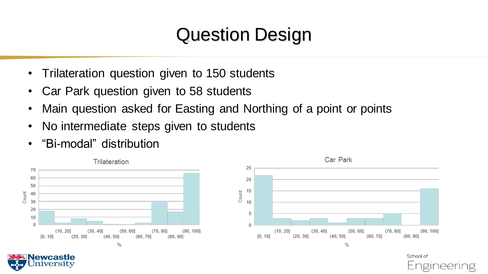- Trilateration question given to 150 students
- Car Park question given to 58 students
- Main question asked for Easting and Northing of a point or points
- No intermediate steps given to students
- "Bi-modal" distribution

ewcastle niversity



School of <u>ngineering</u>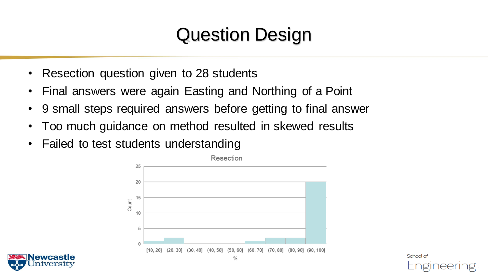- Resection question given to 28 students
- Final answers were again Easting and Northing of a Point
- 9 small steps required answers before getting to final answer
- Too much guidance on method resulted in skewed results
- Failed to test students understanding



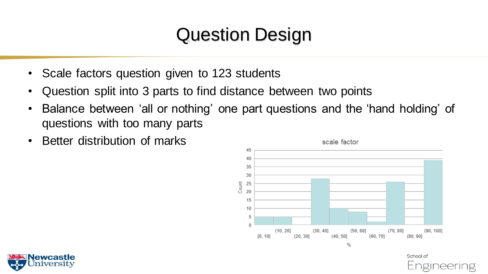- Scale factors question given to 123 students
- Question split into 3 parts to find distance between two points
- Balance between 'all or nothing' one part questions and the 'hand holding' of questions with too many parts
- Better distribution of marks



School of

Engineering